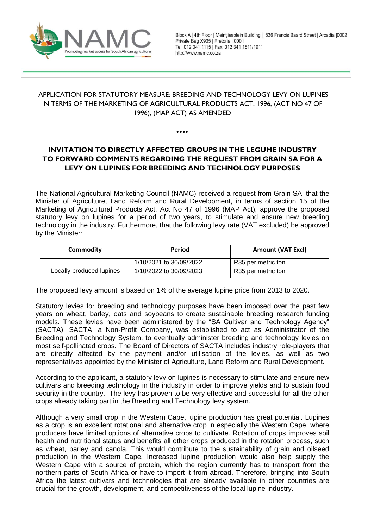

Block A | 4th Floor | Meintjiesplein Building | 536 Francis Baard Street | Arcadia | 0002 Private Bag X935 | Pretoria | 0001 Tel: 012 341 1115 | Fax: 012 341 1811/1911 http://www.namc.co.za

## APPLICATION FOR STATUTORY MEASURE: BREEDING AND TECHNOLOGY LEVY ON LUPINES IN TERMS OF THE MARKETING OF AGRICULTURAL PRODUCTS ACT, 1996, (ACT NO 47 OF 1996), (MAP ACT) AS AMENDED

⦁⦁⦁⦁

# **INVITATION TO DIRECTLY AFFECTED GROUPS IN THE LEGUME INDUSTRY TO FORWARD COMMENTS REGARDING THE REQUEST FROM GRAIN SA FOR A LEVY ON LUPINES FOR BREEDING AND TECHNOLOGY PURPOSES**

The National Agricultural Marketing Council (NAMC) received a request from Grain SA, that the Minister of Agriculture, Land Reform and Rural Development, in terms of section 15 of the Marketing of Agricultural Products Act, Act No 47 of 1996 (MAP Act), approve the proposed statutory levy on lupines for a period of two years, to stimulate and ensure new breeding technology in the industry. Furthermore, that the following levy rate (VAT excluded) be approved by the Minister:

| <b>Commodity</b>         | Period                  | <b>Amount (VAT Excl)</b> |  |
|--------------------------|-------------------------|--------------------------|--|
|                          | 1/10/2021 to 30/09/2022 | R35 per metric ton       |  |
| Locally produced lupines | 1/10/2022 to 30/09/2023 | R35 per metric ton       |  |

The proposed levy amount is based on 1% of the average lupine price from 2013 to 2020.

Statutory levies for breeding and technology purposes have been imposed over the past few years on wheat, barley, oats and soybeans to create sustainable breeding research funding models. These levies have been administered by the "SA Cultivar and Technology Agency" (SACTA). SACTA, a Non-Profit Company, was established to act as Administrator of the Breeding and Technology System, to eventually administer breeding and technology levies on most self-pollinated crops. The Board of Directors of SACTA includes industry role-players that are directly affected by the payment and/or utilisation of the levies, as well as two representatives appointed by the Minister of Agriculture, Land Reform and Rural Development.

According to the applicant, a statutory levy on lupines is necessary to stimulate and ensure new cultivars and breeding technology in the industry in order to improve yields and to sustain food security in the country. The levy has proven to be very effective and successful for all the other crops already taking part in the Breeding and Technology levy system.

Although a very small crop in the Western Cape, lupine production has great potential. Lupines as a crop is an excellent rotational and alternative crop in especially the Western Cape, where producers have limited options of alternative crops to cultivate. Rotation of crops improves soil health and nutritional status and benefits all other crops produced in the rotation process, such as wheat, barley and canola. This would contribute to the sustainability of grain and oilseed production in the Western Cape. Increased lupine production would also help supply the Western Cape with a source of protein, which the region currently has to transport from the northern parts of South Africa or have to import it from abroad. Therefore, bringing into South Africa the latest cultivars and technologies that are already available in other countries are crucial for the growth, development, and competitiveness of the local lupine industry.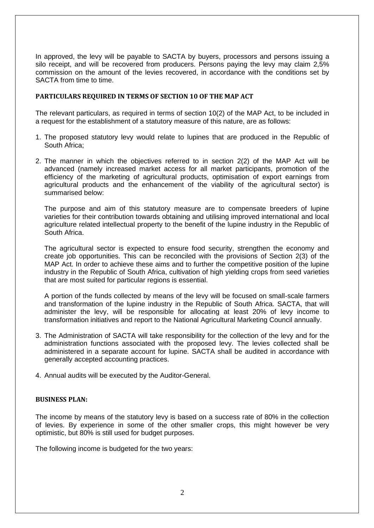In approved, the levy will be payable to SACTA by buyers, processors and persons issuing a silo receipt, and will be recovered from producers. Persons paying the levy may claim 2,5% commission on the amount of the levies recovered, in accordance with the conditions set by SACTA from time to time.

### **PARTICULARS REQUIRED IN TERMS OF SECTION 10 OF THE MAP ACT**

The relevant particulars, as required in terms of section 10(2) of the MAP Act, to be included in a request for the establishment of a statutory measure of this nature, are as follows:

- 1. The proposed statutory levy would relate to lupines that are produced in the Republic of South Africa;
- 2. The manner in which the objectives referred to in section 2(2) of the MAP Act will be advanced (namely increased market access for all market participants, promotion of the efficiency of the marketing of agricultural products, optimisation of export earnings from agricultural products and the enhancement of the viability of the agricultural sector) is summarised below:

The purpose and aim of this statutory measure are to compensate breeders of lupine varieties for their contribution towards obtaining and utilising improved international and local agriculture related intellectual property to the benefit of the lupine industry in the Republic of South Africa.

The agricultural sector is expected to ensure food security, strengthen the economy and create job opportunities. This can be reconciled with the provisions of Section 2(3) of the MAP Act. In order to achieve these aims and to further the competitive position of the lupine industry in the Republic of South Africa, cultivation of high yielding crops from seed varieties that are most suited for particular regions is essential.

A portion of the funds collected by means of the levy will be focused on small-scale farmers and transformation of the lupine industry in the Republic of South Africa. SACTA, that will administer the levy, will be responsible for allocating at least 20% of levy income to transformation initiatives and report to the National Agricultural Marketing Council annually.

- 3. The Administration of SACTA will take responsibility for the collection of the levy and for the administration functions associated with the proposed levy. The levies collected shall be administered in a separate account for lupine. SACTA shall be audited in accordance with generally accepted accounting practices.
- 4. Annual audits will be executed by the Auditor-General.

#### **BUSINESS PLAN:**

The income by means of the statutory levy is based on a success rate of 80% in the collection of levies. By experience in some of the other smaller crops, this might however be very optimistic, but 80% is still used for budget purposes.

The following income is budgeted for the two years: